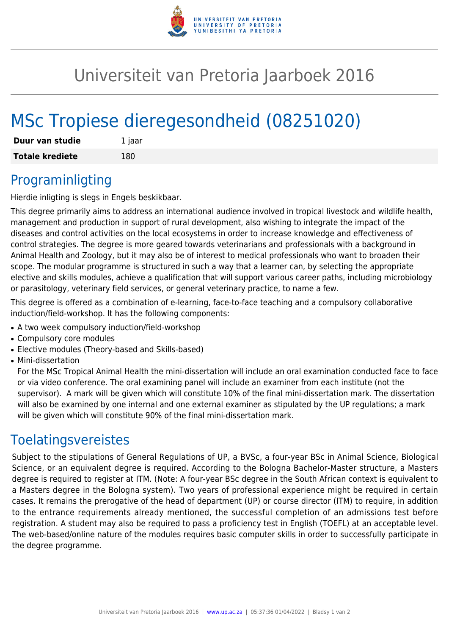

# Universiteit van Pretoria Jaarboek 2016

# MSc Tropiese dieregesondheid (08251020)

| Duur van studie        | 1 jaar |
|------------------------|--------|
| <b>Totale krediete</b> | 180    |

#### Programinligting

Hierdie inligting is slegs in Engels beskikbaar.

This degree primarily aims to address an international audience involved in tropical livestock and wildlife health, management and production in support of rural development, also wishing to integrate the impact of the diseases and control activities on the local ecosystems in order to increase knowledge and effectiveness of control strategies. The degree is more geared towards veterinarians and professionals with a background in Animal Health and Zoology, but it may also be of interest to medical professionals who want to broaden their scope. The modular programme is structured in such a way that a learner can, by selecting the appropriate elective and skills modules, achieve a qualification that will support various career paths, including microbiology or parasitology, veterinary field services, or general veterinary practice, to name a few.

This degree is offered as a combination of e-learning, face-to-face teaching and a compulsory collaborative induction/field-workshop. It has the following components:

- A two week compulsory induction/field-workshop
- Compulsory core modules
- Elective modules (Theory-based and Skills-based)
- Mini-dissertation

For the MSc Tropical Animal Health the mini-dissertation will include an oral examination conducted face to face or via video conference. The oral examining panel will include an examiner from each institute (not the supervisor). A mark will be given which will constitute 10% of the final mini-dissertation mark. The dissertation will also be examined by one internal and one external examiner as stipulated by the UP regulations; a mark will be given which will constitute 90% of the final mini-dissertation mark.

#### Toelatingsvereistes

Subject to the stipulations of General Regulations of UP, a BVSc, a four-year BSc in Animal Science, Biological Science, or an equivalent degree is required. According to the Bologna Bachelor-Master structure, a Masters degree is required to register at ITM. (Note: A four-year BSc degree in the South African context is equivalent to a Masters degree in the Bologna system). Two years of professional experience might be required in certain cases. It remains the prerogative of the head of department (UP) or course director (ITM) to require, in addition to the entrance requirements already mentioned, the successful completion of an admissions test before registration. A student may also be required to pass a proficiency test in English (TOEFL) at an acceptable level. The web-based/online nature of the modules requires basic computer skills in order to successfully participate in the degree programme.